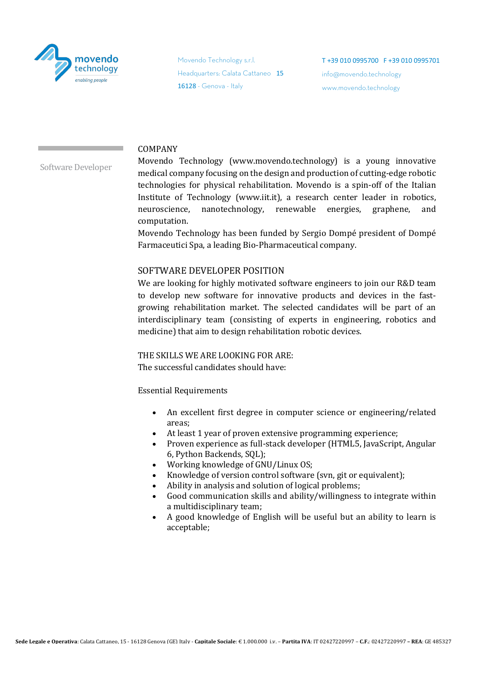

Movendo Technology s.r.l. Headquarters: Calata Cattaneo 15 16128 - Genova - Italy

T +39 010 0995700 F +39 010 0995701 info@movendo.technology www.movendo.technology

## COMPANY

Software Developer

Movendo Technology (www.movendo.technology) is a young innovative medical company focusing on the design and production of cutting-edge robotic technologies for physical rehabilitation. Movendo is a spin-off of the Italian Institute of Technology (www.iit.it), a research center leader in robotics, neuroscience, nanotechnology, renewable energies, graphene, and computation.

Movendo Technology has been funded by Sergio Dompé president of Dompé Farmaceutici Spa, a leading Bio-Pharmaceutical company.

# SOFTWARE DEVELOPER POSITION

We are looking for highly motivated software engineers to join our R&D team to develop new software for innovative products and devices in the fastgrowing rehabilitation market. The selected candidates will be part of an interdisciplinary team (consisting of experts in engineering, robotics and medicine) that aim to design rehabilitation robotic devices.

THE SKILLS WE ARE LOOKING FOR ARE: The successful candidates should have:

Essential Requirements

- An excellent first degree in computer science or engineering/related areas;
- At least 1 year of proven extensive programming experience;
- Proven experience as full-stack developer (HTML5, JavaScript, Angular 6, Python Backends, SQL);
- Working knowledge of GNU/Linux OS;
- Knowledge of version control software (svn, git or equivalent);
- Ability in analysis and solution of logical problems;
- Good communication skills and ability/willingness to integrate within a multidisciplinary team;
- A good knowledge of English will be useful but an ability to learn is acceptable;